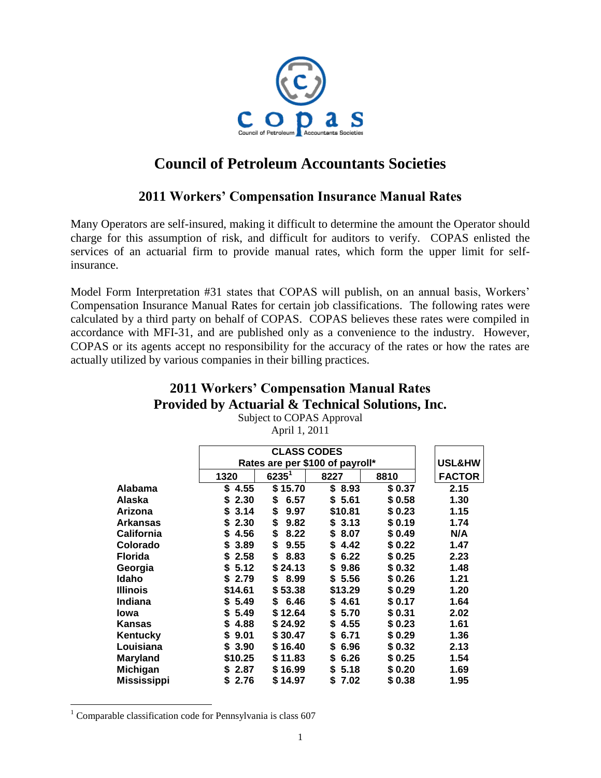

# **Council of Petroleum Accountants Societies**

## **2011 Workers' Compensation Insurance Manual Rates**

Many Operators are self-insured, making it difficult to determine the amount the Operator should charge for this assumption of risk, and difficult for auditors to verify. COPAS enlisted the services of an actuarial firm to provide manual rates, which form the upper limit for selfinsurance.

Model Form Interpretation #31 states that COPAS will publish, on an annual basis, Workers' Compensation Insurance Manual Rates for certain job classifications. The following rates were calculated by a third party on behalf of COPAS. COPAS believes these rates were compiled in accordance with MFI-31, and are published only as a convenience to the industry. However, COPAS or its agents accept no responsibility for the accuracy of the rates or how the rates are actually utilized by various companies in their billing practices.

### **2011 Workers' Compensation Manual Rates Provided by Actuarial & Technical Solutions, Inc.**

|                    |            | <b>CLASS CODES</b><br>Rates are per \$100 of payroll* |            |        |               |  |
|--------------------|------------|-------------------------------------------------------|------------|--------|---------------|--|
|                    |            |                                                       |            |        |               |  |
|                    | 1320       | $6235^1$                                              | 8227       | 8810   | <b>FACTOR</b> |  |
| Alabama            | \$4.55     | \$15.70                                               | \$8.93     | \$0.37 | 2.15          |  |
| Alaska             | S<br>2.30  | \$<br>6.57                                            | \$5.61     | \$0.58 | 1.30          |  |
| <b>Arizona</b>     | 3.14<br>\$ | \$<br>9.97                                            | \$10.81    | \$0.23 | 1.15          |  |
| <b>Arkansas</b>    | 2.30<br>\$ | \$<br>9.82                                            | \$3.13     | \$0.19 | 1.74          |  |
| <b>California</b>  | 4.56<br>\$ | \$<br>8.22                                            | \$<br>8.07 | \$0.49 | N/A           |  |
| Colorado           | 3.89<br>\$ | \$<br>9.55                                            | \$4.42     | \$0.22 | 1.47          |  |
| <b>Florida</b>     | 2.58<br>S  | \$<br>8.83                                            | \$<br>6.22 | \$0.25 | 2.23          |  |
| Georgia            | \$5.12     | \$24.13                                               | \$<br>9.86 | \$0.32 | 1.48          |  |
| Idaho              | \$2.79     | \$<br>8.99                                            | \$ 5.56    | \$0.26 | 1.21          |  |
| <b>Illinois</b>    | \$14.61    | \$53.38                                               | \$13.29    | \$0.29 | 1.20          |  |
| Indiana            | \$5.49     | \$6.46                                                | \$4.61     | \$0.17 | 1.64          |  |
| Iowa               | 5.49<br>\$ | \$12.64                                               | \$<br>5.70 | \$0.31 | 2.02          |  |
| Kansas             | 4.88<br>\$ | \$24.92                                               | 4.55<br>\$ | \$0.23 | 1.61          |  |
| Kentucky           | \$<br>9.01 | \$30.47                                               | \$<br>6.71 | \$0.29 | 1.36          |  |
| Louisiana          | \$3.90     | \$16.40                                               | \$<br>6.96 | \$0.32 | 2.13          |  |
| <b>Maryland</b>    | \$10.25    | \$11.83                                               | 6.26<br>\$ | \$0.25 | 1.54          |  |
| <b>Michigan</b>    | \$2.87     | \$16.99                                               | \$ 5.18    | \$0.20 | 1.69          |  |
| <b>Mississippi</b> | \$2.76     | \$14.97                                               | \$<br>7.02 | \$0.38 | 1.95          |  |

Subject to COPAS Approval April 1, 2011

 $\overline{a}$ 

 $1$  Comparable classification code for Pennsylvania is class 607